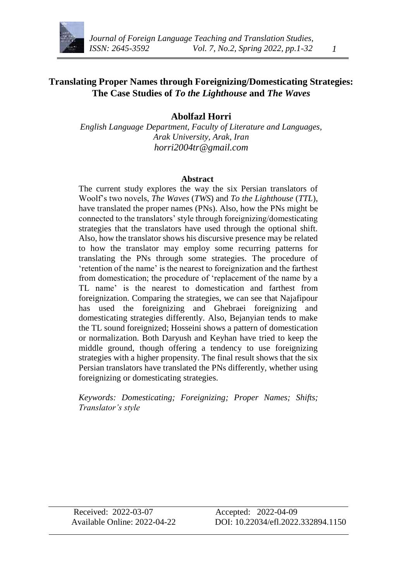

## **Translating Proper Names through Foreignizing/Domesticating Strategies: The Case Studies of** *To the Lighthouse* **and** *The Waves*

#### **Abolfazl Horri**

*English Language Department, Faculty of Literature and Languages, Arak University, Arak, Iran [horri2004tr@gmail.com](mailto:horri2004tr@gmail.com)*

#### **Abstract**

The current study explores the way the six Persian translators of Woolf's two novels, *The Waves* (*TWS*) and *To the Lighthouse* (*TTL*), have translated the proper names (PNs). Also, how the PNs might be connected to the translators' style through foreignizing/domesticating strategies that the translators have used through the optional shift. Also, how the translator shows his discursive presence may be related to how the translator may employ some recurring patterns for translating the PNs through some strategies. The procedure of 'retention of the name' is the nearest to foreignization and the farthest from domestication; the procedure of 'replacement of the name by a TL name' is the nearest to domestication and farthest from foreignization. Comparing the strategies, we can see that Najafipour has used the foreignizing and Ghebraei foreignizing and domesticating strategies differently. Also, Bejanyian tends to make the TL sound foreignized; Hosseini shows a pattern of domestication or normalization. Both Daryush and Keyhan have tried to keep the middle ground, though offering a tendency to use foreignizing strategies with a higher propensity. The final result shows that the six Persian translators have translated the PNs differently, whether using foreignizing or domesticating strategies.

*Keywords: Domesticating; Foreignizing; Proper Names; Shifts; Translator's style*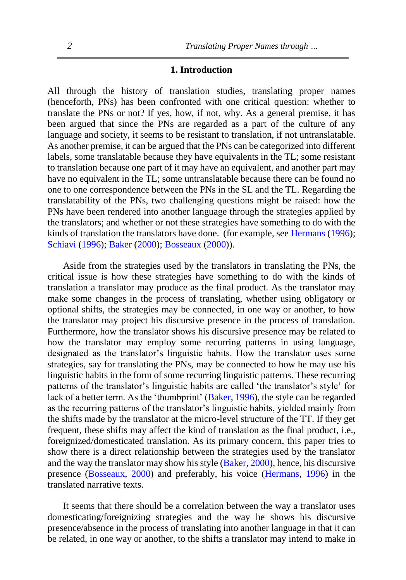#### **1. Introduction**

All through the history of translation studies, translating proper names (henceforth, PNs) has been confronted with one critical question: whether to translate the PNs or not? If yes, how, if not, why. As a general premise, it has been argued that since the PNs are regarded as a part of the culture of any language and society, it seems to be resistant to translation, if not untranslatable. As another premise, it can be argued that the PNs can be categorized into different labels, some translatable because they have equivalents in the TL; some resistant to translation because one part of it may have an equivalent, and another part may have no equivalent in the TL; some untranslatable because there can be found no one to one correspondence between the PNs in the SL and the TL. Regarding the translatability of the PNs, two challenging questions might be raised: how the PNs have been rendered into another language through the strategies applied by the translators; and whether or not these strategies have something to do with the kinds of translation the translators have done. (for example, see [Hermans](#page-30-0) [\(1996\)](#page-30-0); [Schiavi](#page-30-1) [\(1996\)](#page-30-1); [Baker](#page-29-0) [\(2000\)](#page-29-0)[; Bosseaux](#page-29-1) [\(2000\)](#page-29-1)).

Aside from the strategies used by the translators in translating the PNs, the critical issue is how these strategies have something to do with the kinds of translation a translator may produce as the final product. As the translator may make some changes in the process of translating, whether using obligatory or optional shifts, the strategies may be connected, in one way or another, to how the translator may project his discursive presence in the process of translation. Furthermore, how the translator shows his discursive presence may be related to how the translator may employ some recurring patterns in using language, designated as the translator's linguistic habits. How the translator uses some strategies, say for translating the PNs, may be connected to how he may use his linguistic habits in the form of some recurring linguistic patterns. These recurring patterns of the translator's linguistic habits are called 'the translator's style' for lack of a better term. As the 'thumbprint' [\(Baker, 1996\)](#page-29-2), the style can be regarded as the recurring patterns of the translator's linguistic habits, yielded mainly from the shifts made by the translator at the micro-level structure of the TT. If they get frequent, these shifts may affect the kind of translation as the final product, i.e., foreignized/domesticated translation. As its primary concern, this paper tries to show there is a direct relationship between the strategies used by the translator and the way the translator may show his style [\(Baker, 2000\)](#page-29-0), hence, his discursive presence [\(Bosseaux, 2000\)](#page-29-1) and preferably, his voice [\(Hermans, 1996\)](#page-30-0) in the translated narrative texts.

It seems that there should be a correlation between the way a translator uses domesticating/foreignizing strategies and the way he shows his discursive presence/absence in the process of translating into another language in that it can be related, in one way or another, to the shifts a translator may intend to make in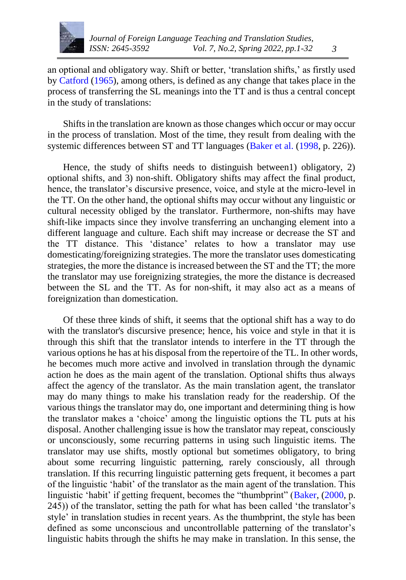

an optional and obligatory way. Shift or better, 'translation shifts,' as firstly used by [Catford](#page-30-2) [\(1965\)](#page-30-2), among others, is defined as any change that takes place in the process of transferring the SL meanings into the TT and is thus a central concept in the study of translations:

Shifts in the translation are known as those changes which occur or may occur in the process of translation. Most of the time, they result from dealing with the systemic differences between ST and TT languages [\(Baker et al.](#page-29-3) [\(1998,](#page-29-3) p. 226)).

Hence, the study of shifts needs to distinguish between1) obligatory, 2) optional shifts, and 3) non-shift. Obligatory shifts may affect the final product, hence, the translator's discursive presence, voice, and style at the micro-level in the TT. On the other hand, the optional shifts may occur without any linguistic or cultural necessity obliged by the translator. Furthermore, non-shifts may have shift-like impacts since they involve transferring an unchanging element into a different language and culture. Each shift may increase or decrease the ST and the TT distance. This 'distance' relates to how a translator may use domesticating/foreignizing strategies. The more the translator uses domesticating strategies, the more the distance is increased between the ST and the TT; the more the translator may use foreignizing strategies, the more the distance is decreased between the SL and the TT. As for non-shift, it may also act as a means of foreignization than domestication.

Of these three kinds of shift, it seems that the optional shift has a way to do with the translator's discursive presence; hence, his voice and style in that it is through this shift that the translator intends to interfere in the TT through the various options he has at his disposal from the repertoire of the TL. In other words, he becomes much more active and involved in translation through the dynamic action he does as the main agent of the translation. Optional shifts thus always affect the agency of the translator. As the main translation agent, the translator may do many things to make his translation ready for the readership. Of the various things the translator may do, one important and determining thing is how the translator makes a 'choice' among the linguistic options the TL puts at his disposal. Another challenging issue is how the translator may repeat, consciously or unconsciously, some recurring patterns in using such linguistic items. The translator may use shifts, mostly optional but sometimes obligatory, to bring about some recurring linguistic patterning, rarely consciously, all through translation. If this recurring linguistic patterning gets frequent, it becomes a part of the linguistic 'habit' of the translator as the main agent of the translation. This linguistic 'habit' if getting frequent, becomes the "thumbprint" [\(Baker,](#page-29-0) [\(2000,](#page-29-0) p. 245)) of the translator, setting the path for what has been called 'the translator's style' in translation studies in recent years. As the thumbprint, the style has been defined as some unconscious and uncontrollable patterning of the translator's linguistic habits through the shifts he may make in translation. In this sense, the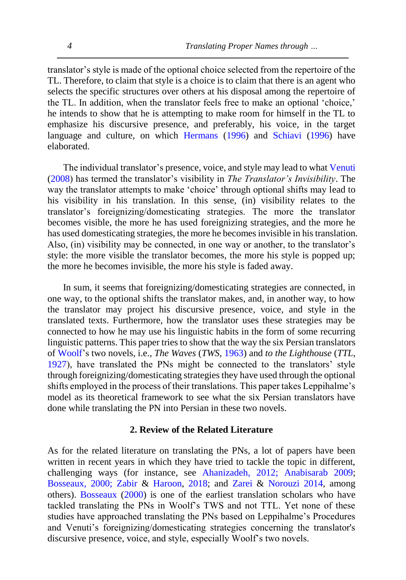translator's style is made of the optional choice selected from the repertoire of the TL. Therefore, to claim that style is a choice is to claim that there is an agent who selects the specific structures over others at his disposal among the repertoire of the TL. In addition, when the translator feels free to make an optional 'choice,' he intends to show that he is attempting to make room for himself in the TL to emphasize his discursive presence, and preferably, his voice, in the target language and culture, on which [Hermans](#page-30-0) [\(1996\)](#page-30-0) and [Schiavi](#page-30-1) [\(1996\)](#page-30-1) have elaborated.

The individual translator's presence, voice, and style may lead to what [Venuti](#page-30-3) [\(2008\)](#page-30-3) has termed the translator's visibility in *The Translator's Invisibility*. The way the translator attempts to make 'choice' through optional shifts may lead to his visibility in his translation. In this sense, (in) visibility relates to the translator's foreignizing/domesticating strategies. The more the translator becomes visible, the more he has used foreignizing strategies, and the more he has used domesticating strategies, the more he becomes invisible in his translation. Also, (in) visibility may be connected, in one way or another, to the translator's style: the more visible the translator becomes, the more his style is popped up; the more he becomes invisible, the more his style is faded away.

In sum, it seems that foreignizing/domesticating strategies are connected, in one way, to the optional shifts the translator makes, and, in another way, to how the translator may project his discursive presence, voice, and style in the translated texts. Furthermore, how the translator uses these strategies may be connected to how he may use his linguistic habits in the form of some recurring linguistic patterns. This paper tries to show that the way the six Persian translators of [Woolf'](#page-30-4)s two novels, i.e., *The Waves* (*TWS*, [1963\)](#page-30-4) and *to the Lighthouse* (*TTL*, [1927\)](#page-30-5), have translated the PNs might be connected to the translators' style through foreignizing/domesticating strategies they have used through the optional shifts employed in the process of their translations. This paper takes Leppihalme's model as its theoretical framework to see what the six Persian translators have done while translating the PN into Persian in these two novels.

#### **2. Review of the Related Literature**

As for the related literature on translating the PNs, a lot of papers have been written in recent years in which they have tried to tackle the topic in different, challenging ways (for instance, se[e](#page-29-4) [Ahanizadeh,](#page-29-4) [2012;](#page-29-4) [Anabisarab](#page-29-5) [2009;](#page-29-5) [Bosseaux,](#page-29-1) [2000;](#page-29-1) [Zabir](#page-31-0) & [Haroon,](#page-31-0) [2018;](#page-31-0) and [Zarei](#page-30-6) & [Norouzi](#page-30-6) [2014,](#page-30-6) among others). [Bosseaux](#page-29-1) [\(2000\)](#page-29-1) is one of the earliest translation scholars who have tackled translating the PNs in Woolf's TWS and not TTL. Yet none of these studies have approached translating the PNs based on Leppihalme's Procedures and Venuti's foreignizing/domesticating strategies concerning the translator's discursive presence, voice, and style, especially Woolf's two novels.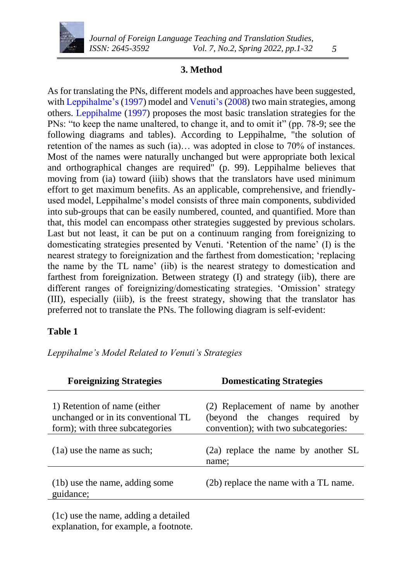

#### **3. Method**

As for translating the PNs, different models and approaches have been suggested, wit[h Leppihalme's](#page-30-7) [\(1997\)](#page-30-7) model an[d Venuti's](#page-30-3) [\(2008\)](#page-30-3) two main strategies, among others. [Leppihalme](#page-30-7) [\(1997\)](#page-30-7) proposes the most basic translation strategies for the PNs: "to keep the name unaltered, to change it, and to omit it" (pp. 78-9; see the following diagrams and tables). According to Leppihalme, "the solution of retention of the names as such (ia)… was adopted in close to 70% of instances. Most of the names were naturally unchanged but were appropriate both lexical and orthographical changes are required" (p. 99). Leppihalme believes that moving from (ia) toward (iiib) shows that the translators have used minimum effort to get maximum benefits. As an applicable, comprehensive, and friendlyused model, Leppihalme's model consists of three main components, subdivided into sub-groups that can be easily numbered, counted, and quantified. More than that, this model can encompass other strategies suggested by previous scholars. Last but not least, it can be put on a continuum ranging from foreignizing to domesticating strategies presented by Venuti. 'Retention of the name' (I) is the nearest strategy to foreignization and the farthest from domestication; 'replacing the name by the TL name' (iib) is the nearest strategy to domestication and farthest from foreignization. Between strategy (I) and strategy (iib), there are different ranges of foreignizing/domesticating strategies. 'Omission' strategy (III), especially (iiib), is the freest strategy, showing that the translator has preferred not to translate the PNs. The following diagram is self-evident:

#### **Table 1**

*Leppihalme's Model Related to Venuti's Strategies*

| <b>Foreignizing Strategies</b>                                                                         | <b>Domesticating Strategies</b>                                                                               |
|--------------------------------------------------------------------------------------------------------|---------------------------------------------------------------------------------------------------------------|
| 1) Retention of name (either<br>unchanged or in its conventional TL<br>form); with three subcategories | (2) Replacement of name by another<br>(beyond the changes required by<br>convention); with two subcategories: |
| $(1a)$ use the name as such;                                                                           | $(2a)$ replace the name by another SL<br>name:                                                                |
| (1b) use the name, adding some<br>guidance;                                                            | (2b) replace the name with a TL name.                                                                         |
|                                                                                                        |                                                                                                               |

(1c) use the name, adding a detailed explanation, for example, a footnote.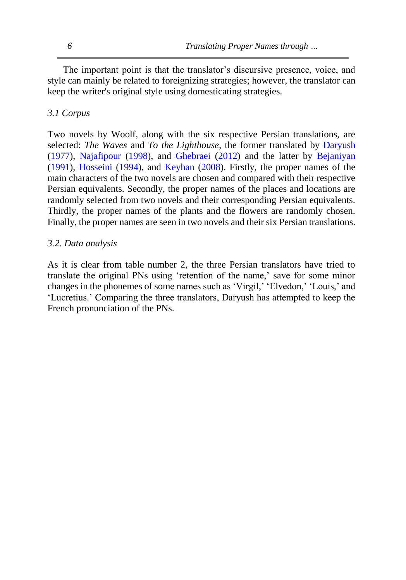The important point is that the translator's discursive presence, voice, and style can mainly be related to foreignizing strategies; however, the translator can keep the writer's original style using domesticating strategies.

## *3.1 Corpus*

Two novels by Woolf, along with the six respective Persian translations, are selected: *The Waves* and *To the Lighthouse*, the former translated by [Daryush](#page-30-8) [\(1977\)](#page-30-8), [Najafipour](#page-30-9) [\(1998\)](#page-30-9), and [Ghebraei](#page-30-10) [\(2012\)](#page-30-10) and the latter by [Bejaniyan](#page-29-6) [\(1991\)](#page-29-6), [Hosseini](#page-30-11) [\(1994\)](#page-30-11), and [Keyhan](#page-30-0) [\(2008\)](#page-30-0). Firstly, the proper names of the main characters of the two novels are chosen and compared with their respective Persian equivalents. Secondly, the proper names of the places and locations are randomly selected from two novels and their corresponding Persian equivalents. Thirdly, the proper names of the plants and the flowers are randomly chosen. Finally, the proper names are seen in two novels and their six Persian translations.

## *3.2. Data analysis*

As it is clear from table number 2, the three Persian translators have tried to translate the original PNs using 'retention of the name,' save for some minor changes in the phonemes of some names such as 'Virgil,' 'Elvedon,' 'Louis,' and 'Lucretius.' Comparing the three translators, Daryush has attempted to keep the French pronunciation of the PNs.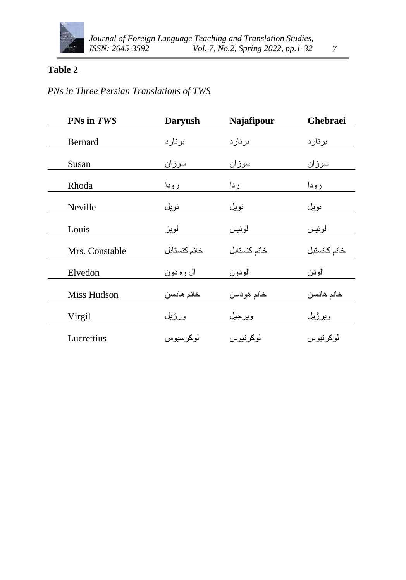

# **Table 2**

# *PNs in Three Persian Translations of TWS*

| PNs in TWS     | <b>Daryush</b> | Najafipour   | Ghebraei     |
|----------------|----------------|--------------|--------------|
| <b>Bernard</b> | برنارد         | برنارد       | برنارد       |
| Susan          | سوزان          | سوزان        | سوزان        |
| Rhoda          | رودا           | ردا          | رودا         |
| Neville        | نويل           | نويل         | نويل         |
| Louis          | لويز           | لموئيس       | لموئيس       |
| Mrs. Constable | خانم كنستابل   | خانم كنستابل | خانم كانستبل |
| Elvedon        | ال وه دون      | الودون       | الودن        |
| Miss Hudson    | خانم هادسن     | خانم هودسن   | خانم هادسن   |
| Virgil         | ورژيل          | ويرجيل       | ويرژيل       |
| Lucrettius     | لوكرسيوس       | لو کر تیو س  | لوكرتيوس     |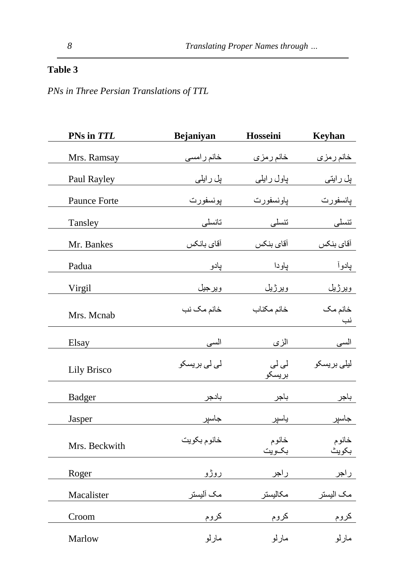# **Table 3**

*PNs in Three Persian Translations of TTL*

| PNs in TTL         | Bejaniyan    | Hosseini        | <b>Keyhan</b>      |
|--------------------|--------------|-----------------|--------------------|
| Mrs. Ramsay        | خانم ر امسی  | خانم رمزى       | خان <u>م ر</u> مزی |
| Paul Rayley        | پل رایلی     | پاول رايلي      | پل رایتی           |
| Paunce Forte       | پونسفورت     | پاونسفورت       | يانسفورت           |
| Tansley            | تانسلى       | تنسلى           | تنسلى              |
| Mr. Bankes         | أقاي بانكس   | آقاي بنكس       | آقاي بنكس          |
| Padua              | پادو         | پاودا           | پادوأ              |
| Virgil             | ويرجيل       | ويرژيل          | ويرژيل             |
| Mrs. Mcnab         | خانم مک نب   | خانم مكناب      | خانم مک<br>نب      |
| Elsay              | السي         | الزى            | السي               |
| <b>Lily Brisco</b> | لی لی بریسکو | لی لی<br>بريسكو | ليلى بريسكو        |
| <b>Badger</b>      | بادجر        | باجر            | باجر               |
| Jasper             | جاسپر        | ياسپر           | جاسپر              |
| Mrs. Beckwith      | خانوم بكويت  | خانوم<br>بكويت  | خانوم<br>بكويث     |
| Roger              | روژو         | راجر            | راجر               |
| Macalister         | مک آلیستر    | مكاليستر        | مک الیستر          |
| Croom              | کروم         | كروم            | کروم               |
| Marlow             | مارلو        | مارلو           | مارلو              |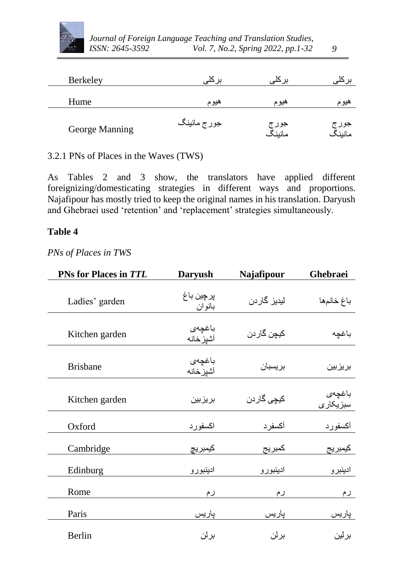

| <b>Berkeley</b> |              |                 |                 |
|-----------------|--------------|-----------------|-----------------|
| Hume            | هيوم         | هيوم            | هيوم            |
| George Manning  | جور ج مانینگ | جور ج<br>مانينگ | جور ج<br>مانينگ |

3.2.1 PNs of Places in the Waves (TWS)

As Tables 2 and 3 show, the translators have applied different foreignizing/domesticating strategies in different ways and proportions. Najafipour has mostly tried to keep the original names in his translation. Daryush and Ghebraei used 'retention' and 'replacement' strategies simultaneously.

### **Table 4**

### *PNs of Places in TWS*

| PNs for Places in TTL | <b>Daryush</b>      | Najafipour                  | Ghebraei             |
|-----------------------|---------------------|-----------------------------|----------------------|
| Ladies' garden        | پرچين باغ<br>بانوان | لیدیز گاردن                 | باغ خانمها           |
| Kitchen garden        | باغچەي<br>آشيز خانه | كيچن گار دن                 | باغچه                |
| <b>Brisbane</b>       | باغچەي<br>آشيز خانه | بريسبان                     | بر يز بين            |
| Kitchen garden        | بريزبين             | کیچ <i>ی</i> گا <i>ر</i> دن | باغچەي<br>سبز یکار ی |
| Oxford                | اكسفورد             | آكسفرد                      | أكسفورد              |
| Cambridge             | كيمبريج             | كمبريج                      | كيمبريج              |
| Edinburg              | ادينبورو            | ادينبورو                    | ادينبر و             |
| Rome                  | رم                  | رم                          | رم                   |
| Paris                 | پاریس               | پاریس                       | پاریس                |
| Berlin                | برلن                | برلن                        | برلين                |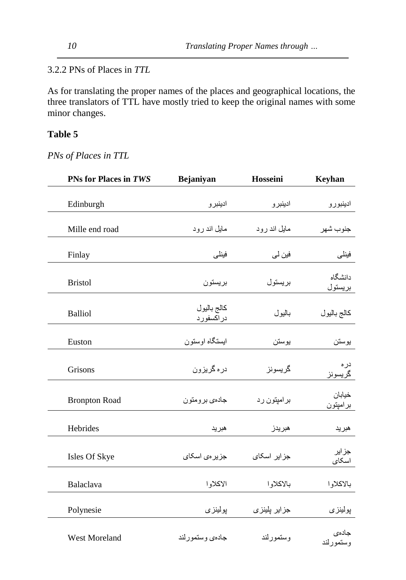3.2.2 PNs of Places in *TTL*

As for translating the proper names of the places and geographical locations, the three translators of TTL have mostly tried to keep the original names with some minor changes.

# **Table 5**

*PNs of Places in TTL*

| PNs for Places in TWS | Bejaniyan                | Hosseini      | Keyhan             |
|-----------------------|--------------------------|---------------|--------------------|
| Edinburgh             | ادينبر و                 | ادينبر و      | ادينبورو           |
| Mille end road        | مایل اند رود             | مایل اند رود  | جنوب شهر           |
| Finlay                | فينلى                    | فين لي        | فينلى              |
| <b>Bristol</b>        | بريستون                  | بريستول       | دانشگاه<br>بريستول |
| <b>Balliol</b>        | كالج باليول<br>دراكسفورد | باليول        | كالج باليول        |
| Euston                | ابستگاه اوستون           | بوستن         | يوستن              |
| Grisons               | در ہ گریزون              | گريسونز       | در ہ<br>گريسونز    |
| <b>Bronpton Road</b>  | جادهي برومتون            | بر امپتون ر د | خيابان<br>برامپتون |
| Hebrides              | هبريد                    | هبريدز        | هبريد              |
| Isles Of Skye         | جز پر می اسکای           | جز ایر اسکای  | جزاير<br>اسكاي     |
| Balaclava             | الاكلاوا                 | بالاكلاوا     | بالاكلاوا          |
| Polynesie             | پولينزي                  | جزایر پلینزی  | پولينز <i>ی</i>    |
| West Moreland         | جادهي وستمور لند         | وستمورلند     | جادەي<br>وستمورلند |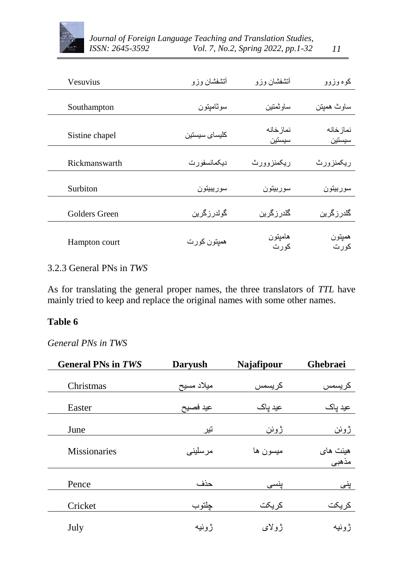

| كوه وزوو            | أتشفشان وزو         | أنشفشان وزو   | <b>Vesuvius</b> |
|---------------------|---------------------|---------------|-----------------|
| ساوث هميتن          | ساوتمتين            | سوئاميتون     | Southampton     |
|                     |                     |               |                 |
| نماز خانه<br>سيستين | نماز خانه<br>سيستين | كليساى سيستين | Sistine chapel  |
| ر بيکمنز و ر ث      | ريكمنزوورث          | دیکمانسفو ر ت | Rickmanswarth   |
| سوربيتون            | سوربيتون            | سوريبيتون     | Surbiton        |
| گلدر ز گر بن        | گلدر ز گري <i>ن</i> | گولدرزگرین    | Golders Green   |
| هميتون<br>كورت      | هاميتون<br>كورت     | همپتون کور ت  | Hampton court   |

## 3.2.3 General PNs in *TWS*

As for translating the general proper names, the three translators of *TTL* have mainly tried to keep and replace the original names with some other names.

## **Table 6**

*General PNs in TWS*

| <b>General PNs in TWS</b> | <b>Daryush</b> | Najafipour | Ghebraei |
|---------------------------|----------------|------------|----------|
| Christmas                 | ميلاد مسيح     | كريسمس     | كريسمس   |
| Easter                    | عيد فصيح       | عید پاک    | عید پاک  |
| June                      | تير            | ژوئن       | ژوئن     |
| <b>Missionaries</b>       | مر سليني       | ميسون ها   | هيئت هاي |
|                           |                |            | مذهبي    |
| Pence                     | حذف            | پنسی       | پنی      |
| Cricket                   | چلتوب          | كريكت      | كريكت    |
| July                      | ژوئيه          | ژولای      | ژوئيه    |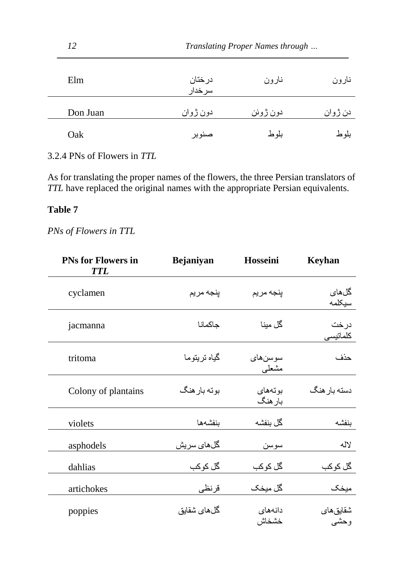| 12       |                    | Translating Proper Names through |         |
|----------|--------------------|----------------------------------|---------|
| Elm      | در ختان<br>سر خدار | نارون                            | نارون   |
| Don Juan | دون ژوان           | دون ژوئن                         | دن ژوان |
| Oak      | صنو بر             | بلو ط                            | بلو ط   |

3.2.4 PNs of Flowers in *TTL*

As for translating the proper names of the flowers, the three Persian translators of *TTL* have replaced the original names with the appropriate Persian equivalents.

## **Table 7**

*PNs of Flowers in TTL*

| <b>PNs for Flowers in</b><br><b>TTL</b> | Bejaniyan      | Hosseini           | <b>Keyhan</b>                     |
|-----------------------------------------|----------------|--------------------|-----------------------------------|
| cyclamen                                | ينجه مريم      | پنجه مريم          | گلهای<br>سيكلمه                   |
| jacmanna                                | جاكمانا        | گل مینا            | درخت<br>كلماتيسى                  |
| tritoma                                 | گياه تر يتو ما | سوسنهاي<br>مشعلى   | حذف                               |
| Colony of plantains                     | بوته بار هنگ   | بوتههاي<br>بار هنگ | دسته بار هنگ                      |
| violets                                 | بنفشهها        | گل بنفشه           | ىنفشه                             |
| asphodels                               | گلهای سریش     | سوسن               | لاله                              |
| dahlias                                 | گل کوکب        | گل کوکب            | گل کوکب                           |
| artichokes                              | قرنظى          | گل میخک            | ميخک                              |
| poppies                                 | گلهای شقایق    | دانههای<br>خشخاش   | شقايق <i>ه</i> ا <i>ی</i><br>وحشى |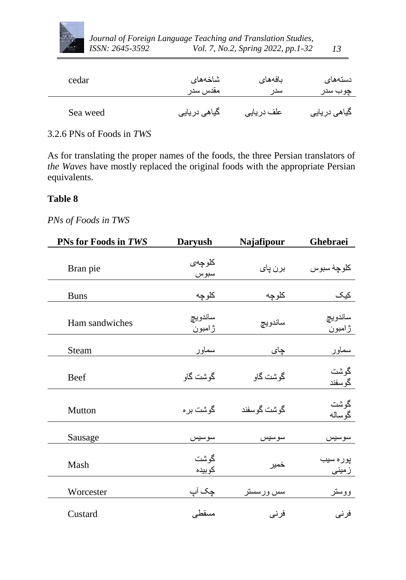

| cedar    | شاخەھاي       | ىافەھاي     | دستههای       |
|----------|---------------|-------------|---------------|
|          | مقدس سدر      | سدر         | چوب سدر       |
| Sea weed | گیاهی در یایی | علف در یایی | گیاهی در یایی |

#### 3.2.6 PNs of Foods in *TWS*

As for translating the proper names of the foods, the three Persian translators of *the Waves* have mostly replaced the original foods with the appropriate Persian equivalents.

### **Table 8**

# *PNs of Foods in TWS*

| PNs for Foods in TWS | <b>Daryush</b>    | Najafipour  | Ghebraei           |
|----------------------|-------------------|-------------|--------------------|
| Bran pie             | كلوجهى<br>سبوس    | برن پای     | كلوجهٔ سبوس        |
| <b>Buns</b>          | كلوچه             | كلوچه       | كيک                |
| Ham sandwiches       | ساندويچ<br>ژامبون | ساندويچ     | ساندويچ<br>ژامبون  |
| Steam                | سماور             | چای         | سماور              |
| <b>Beef</b>          | گوشت گاو          | گوشت گاو    | گوشت<br>گوسفند     |
| Mutton               | گوشت بر ه         | گوشت گوسفند | گوشت<br>گوساله     |
| Sausage              | سوسيس             | سوسيس       | سوسيس              |
| Mash                 | گوشت<br>كوبيده    | خمير        | پور ہ سیب<br>زمینی |
| Worcester            | چک آپ             | سس ورسستر   | ووستر              |
| Custard              | مسقطى             | فرنى        | فرنى               |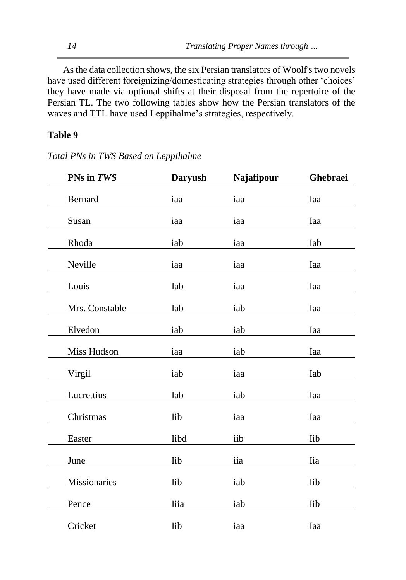As the data collection shows, the six Persian translators of Woolf's two novels have used different foreignizing/domesticating strategies through other 'choices' they have made via optional shifts at their disposal from the repertoire of the Persian TL. The two following tables show how the Persian translators of the waves and TTL have used Leppihalme's strategies, respectively.

### **Table 9**

| PNs in TWS     | <b>Daryush</b> | Najafipour | Ghebraei   |
|----------------|----------------|------------|------------|
| Bernard        | iaa            | iaa        | Iaa        |
| Susan          | iaa            | iaa        | Iaa        |
| Rhoda          | iab            | iaa        | Iab        |
| Neville        | iaa            | iaa        | Iaa        |
| Louis          | Iab            | iaa        | Iaa        |
| Mrs. Constable | Iab            | iab        | Iaa        |
| Elvedon        | iab            | iab        | Iaa        |
| Miss Hudson    | iaa            | iab        | Iaa        |
| Virgil         | iab            | iaa        | Iab        |
| Lucrettius     | Iab            | iab        | Iaa        |
| Christmas      | <b>Iib</b>     | iaa        | Iaa        |
| Easter         | Iibd           | iib        | <b>Iib</b> |
| June           | <b>lib</b>     | iia        | Iia        |
| Missionaries   | <b>Iib</b>     | iab        | <b>Iib</b> |
| Pence          | Iiia           | iab        | <b>Iib</b> |
| Cricket        | <b>Iib</b>     | iaa        | Iaa        |

*Total PNs in TWS Based on Leppihalme*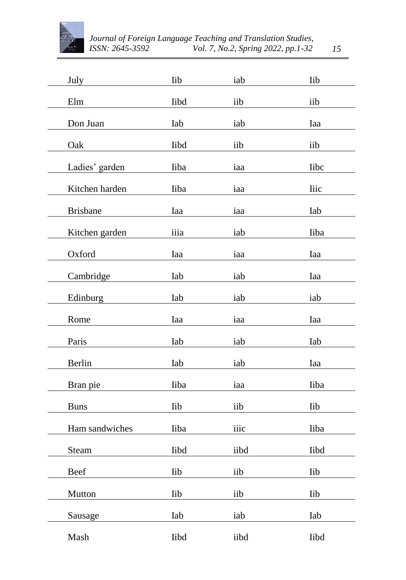

| July            | Iib        | iab  | <b>Iib</b>  |
|-----------------|------------|------|-------------|
| Elm             | Iibd       | iib  | iib         |
| Don Juan        | Iab        | iab  | Iaa         |
| Oak             | Iibd       | iib  | iib         |
| Ladies' garden  | Iiba       | iaa  | <b>libc</b> |
| Kitchen harden  | Iiba       | iaa  | <b>liic</b> |
| <b>Brisbane</b> | Iaa        | iaa  | Iab         |
| Kitchen garden  | iiia       | iab  | Iiba        |
| Oxford          | Iaa        | iaa  | Iaa         |
| Cambridge       | Iab        | iab  | Iaa         |
| Edinburg        | Iab        | iab  | iab         |
| Rome            | Iaa        | iaa  | Iaa         |
| Paris           | Iab        | iab  | Iab         |
| Berlin          | Iab        | iab  | Iaa         |
| Bran pie        | Iiba       | iaa  | Iiba        |
| <b>Buns</b>     | <b>Iib</b> | iib  | Iib         |
| Ham sandwiches  | Iiba       | iiic | Iiba        |
| Steam           | Iibd       | iibd | Iibd        |
| Beef            | Iib        | iib  | Iib         |
| Mutton          | Iib        | iib  | Iib         |
| Sausage         | Iab        | iab  | Iab         |
| Mash            | Iibd       | iibd | Iibd        |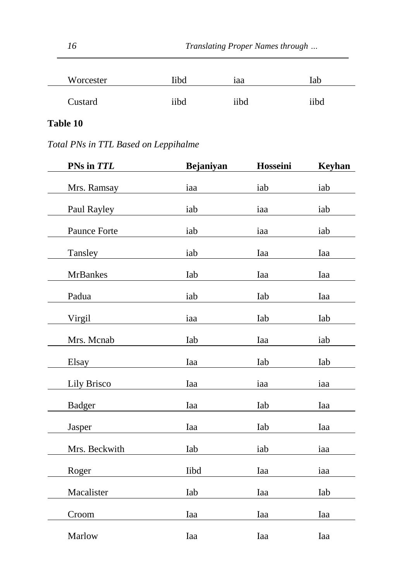| Worcester | libd | $\bullet$<br>1aa | Iab  |
|-----------|------|------------------|------|
| Custard   | iibd | iibd             | iibd |

# **Table 10**

*Total PNs in TTL Based on Leppihalme*

| PNs in TTL      | Bejaniyan | Hosseini | <b>Keyhan</b> |
|-----------------|-----------|----------|---------------|
| Mrs. Ramsay     | iaa       | iab      | iab           |
| Paul Rayley     | iab       | iaa      | iab           |
| Paunce Forte    | iab       | iaa      | iab           |
| Tansley         | iab       | Iaa      | Iaa           |
| <b>MrBankes</b> | Iab       | Iaa      | Iaa           |
| Padua           | iab       | Iab      | Iaa           |
| Virgil          | iaa       | Iab      | Iab           |
| Mrs. Mcnab      | Iab       | Iaa      | iab           |
| Elsay           | Iaa       | Iab      | Iab           |
| Lily Brisco     | Iaa       | iaa      | iaa           |
| <b>Badger</b>   | Iaa       | Iab      | Iaa           |
|                 |           |          |               |
| Jasper          | Iaa       | Iab      | Iaa           |
| Mrs. Beckwith   | Iab       | iab      | iaa           |
| Roger           | Iibd      | Iaa      | iaa           |
| Macalister      | Iab       | Iaa      | Iab           |
| Croom           | Iaa       | Iaa      | Iaa           |
| Marlow          | Iaa       | Iaa      | Iaa           |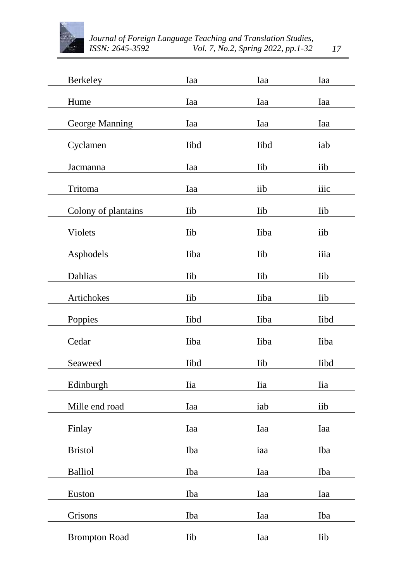

| <b>Berkeley</b>      | Iaa        | Iaa        | Iaa        |
|----------------------|------------|------------|------------|
| Hume                 | Iaa        | Iaa        | Iaa        |
| George Manning       | Iaa        | Iaa        | Iaa        |
| Cyclamen             | Iibd       | Iibd       | iab        |
| Jacmanna             | Iaa        | Iib        | iib        |
| Tritoma              | Iaa        | iib        | iiic       |
| Colony of plantains  | <b>Iib</b> | <b>Iib</b> | Iib        |
| Violets              | <b>Iib</b> | Iiba       | iib        |
| Asphodels            | Iiba       | Iib        | iiia       |
| Dahlias              | <b>Iib</b> | <b>Iib</b> | <b>Iib</b> |
| Artichokes           | <b>Iib</b> | Iiba       | <b>Iib</b> |
| Poppies              | Iibd       | Iiba       | Iibd       |
| Cedar                | Iiba       | Iiba       | Iiba       |
| Seaweed              | Iibd       | <b>lib</b> | Iibd       |
| Edinburgh            | Iia        | <b>Iia</b> | <b>Iia</b> |
| Mille end road       | Iaa        | iab        | iib        |
| Finlay               | Iaa        | Iaa        | Iaa        |
| <b>Bristol</b>       | Iba        | iaa        | Iba        |
|                      |            |            |            |
| <b>Balliol</b>       | Iba        | Iaa        | Iba        |
| Euston               | Iba        | Iaa        | Iaa        |
| Grisons              | Iba        | Iaa        | Iba        |
| <b>Brompton Road</b> | Iib        | Iaa        | Iib        |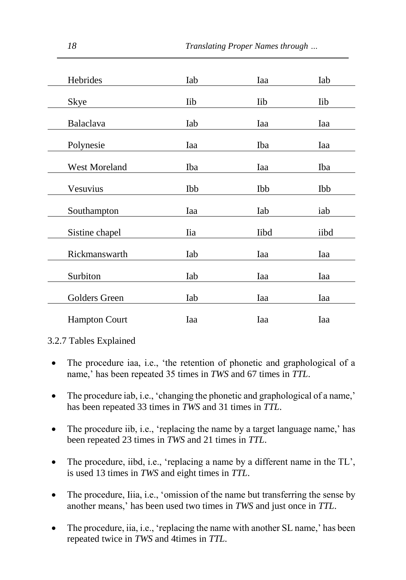| Hebrides             | Iab        | Iaa        | Iab  |
|----------------------|------------|------------|------|
| Skye                 | lib        | <b>Iib</b> | Iib  |
| Balaclava            | Iab        | Iaa        | Iaa  |
| Polynesie            | Iaa        | Iba        | Iaa  |
| <b>West Moreland</b> | Iba        | Iaa        | Iba  |
| Vesuvius             | Ibb        | Ibb        | Ibb  |
| Southampton          | Iaa        | Iab        | iab  |
| Sistine chapel       | <b>Iia</b> | Iibd       | iibd |
| Rickmanswarth        | Iab        | Iaa        | Iaa  |
| Surbiton             | Iab        | Iaa        | Iaa  |
| Golders Green        | Iab        | Iaa        | Iaa  |
| <b>Hampton Court</b> | Iaa        | Iaa        | Iaa  |

3.2.7 Tables Explained

- The procedure iaa, i.e., 'the retention of phonetic and graphological of a name,' has been repeated 35 times in *TWS* and 67 times in *TTL*.
- The procedure iab, i.e., 'changing the phonetic and graphological of a name,' has been repeated 33 times in *TWS* and 31 times in *TTL*.
- The procedure iib, i.e., 'replacing the name by a target language name,' has been repeated 23 times in *TWS* and 21 times in *TTL*.
- $\bullet$  The procedure, iibd, i.e., 'replacing a name by a different name in the TL', is used 13 times in *TWS* and eight times in *TTL*.
- The procedure, Iiia, i.e., 'omission of the name but transferring the sense by another means,' has been used two times in *TWS* and just once in *TTL*.
- The procedure, iia, i.e., 'replacing the name with another SL name,' has been repeated twice in *TWS* and 4times in *TTL*.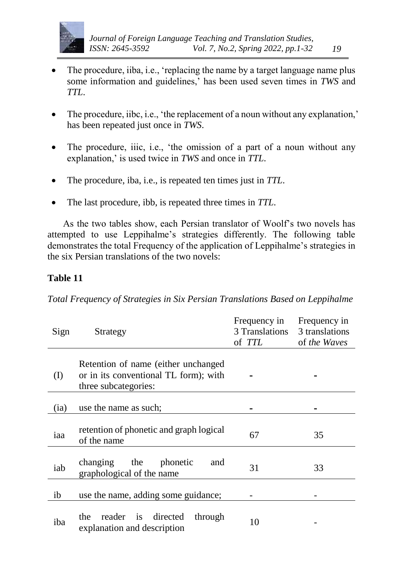

- The procedure, iiba, i.e., 'replacing the name by a target language name plus some information and guidelines,' has been used seven times in *TWS* and *TTL*.
- The procedure, iibc, i.e., 'the replacement of a noun without any explanation,' has been repeated just once in *TWS*.
- The procedure, iiic, i.e., 'the omission of a part of a noun without any explanation,' is used twice in *TWS* and once in *TTL*.
- The procedure, iba, i.e., is repeated ten times just in *TTL*.
- The last procedure, ibb, is repeated three times in *TTL*.

As the two tables show, each Persian translator of Woolf's two novels has attempted to use Leppihalme's strategies differently. The following table demonstrates the total Frequency of the application of Leppihalme's strategies in the six Persian translations of the two novels:

## **Table 11**

*Total Frequency of Strategies in Six Persian Translations Based on Leppihalme*

| Sign      | Strategy                                                                                             | Frequency in<br>3 Translations<br>of <i>TTL</i> | Frequency in<br>3 translations<br>of the Waves |
|-----------|------------------------------------------------------------------------------------------------------|-------------------------------------------------|------------------------------------------------|
| $\rm (I)$ | Retention of name (either unchanged<br>or in its conventional TL form); with<br>three subcategories: |                                                 |                                                |
| (ia)      | use the name as such;                                                                                |                                                 |                                                |
| iaa       | retention of phonetic and graph logical<br>of the name                                               | 67                                              | 35                                             |
| iab       | changing the phonetic<br>and<br>graphological of the name                                            | 31                                              | 33                                             |
| ib        | use the name, adding some guidance;                                                                  |                                                 |                                                |
| iba       | reader is<br>directed<br>through<br>the<br>explanation and description                               | 10                                              |                                                |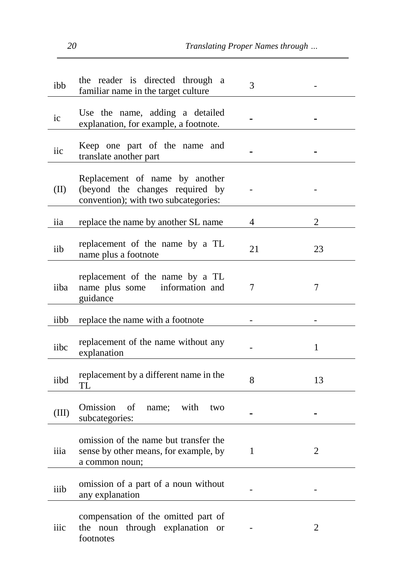*20 Translating Proper Names through …*

| ibb   | the reader is directed through a<br>familiar name in the target culture                                   | 3  |    |
|-------|-----------------------------------------------------------------------------------------------------------|----|----|
| ic    | Use the name, adding a detailed<br>explanation, for example, a footnote.                                  |    |    |
| iic   | Keep one part of the name and<br>translate another part                                                   |    |    |
| (II)  | Replacement of name by another<br>(beyond the changes required by<br>convention); with two subcategories: |    |    |
| iia   | replace the name by another SL name                                                                       | 4  | 2  |
| iib   | replacement of the name by a TL<br>name plus a footnote                                                   | 21 | 23 |
| iiba  | replacement of the name by a TL<br>name plus some information and<br>guidance                             | 7  | 7  |
| iibb  | replace the name with a footnote                                                                          |    |    |
| iibc  | replacement of the name without any<br>explanation                                                        |    | 1  |
| iibd  | replacement by a different name in the<br>TL                                                              | 8  | 13 |
| (III) | Omission<br>of<br>with<br>name;<br>two<br>subcategories:                                                  |    |    |
| iiia  | omission of the name but transfer the                                                                     |    |    |
|       | sense by other means, for example, by<br>a common noun;                                                   | 1  | 2  |
| iiib  | omission of a part of a noun without<br>any explanation                                                   |    |    |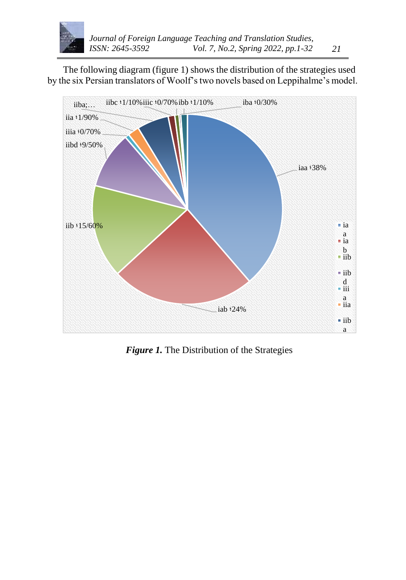

The following diagram (figure 1) shows the distribution of the strategies used by the six Persian translators of Woolf's two novels based on Leppihalme's model.



*Figure 1.* The Distribution of the Strategies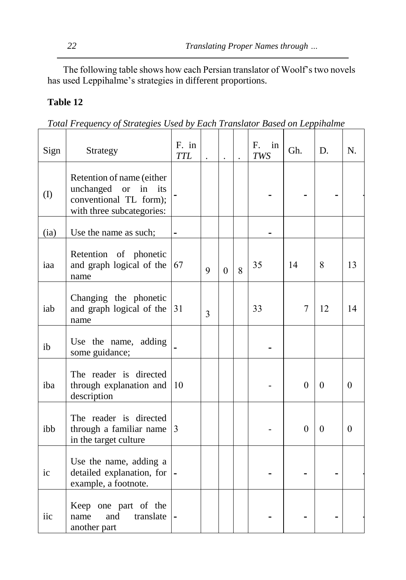The following table shows how each Persian translator of Woolf's two novels has used Leppihalme's strategies in different proportions.

## **Table 12**

| Total Frequency of Strategies Used by Each Translator Based on Leppihalme |  |  |
|---------------------------------------------------------------------------|--|--|

| Sign         | Strategy                                                                                                      | F. in<br><b>TTL</b> |   |          |   | in<br>F.<br><b>TWS</b> | Gh.      | D.       | N.           |
|--------------|---------------------------------------------------------------------------------------------------------------|---------------------|---|----------|---|------------------------|----------|----------|--------------|
| $($ $\Gamma$ | Retention of name (either<br>unchanged or<br>in<br>its<br>conventional TL form);<br>with three subcategories: |                     |   |          |   |                        |          |          |              |
| (ia)         | Use the name as such;                                                                                         |                     |   |          |   |                        |          |          |              |
| iaa          | Retention of phonetic<br>and graph logical of the<br>name                                                     | 67                  | 9 | $\Omega$ | 8 | 35                     | 14       | 8        | 13           |
| iab          | Changing the phonetic<br>and graph logical of the<br>name                                                     | 31                  | 3 |          |   | 33                     | 7        | 12       | 14           |
| ib           | Use the name, adding<br>some guidance;                                                                        |                     |   |          |   |                        |          |          |              |
| iba          | The reader is directed<br>through explanation and<br>description                                              | 10                  |   |          |   |                        | $\theta$ | $\theta$ | $\mathbf{0}$ |
| ibb          | The reader is directed<br>through a familiar name<br>in the target culture                                    | 3                   |   |          |   |                        | $\theta$ | $\Omega$ | $\mathbf{0}$ |
| ic           | Use the name, adding a<br>detailed explanation, for<br>example, a footnote.                                   |                     |   |          |   |                        |          |          |              |
| iic          | Keep one part of the<br>and<br>translate<br>name<br>another part                                              |                     |   |          |   |                        |          |          |              |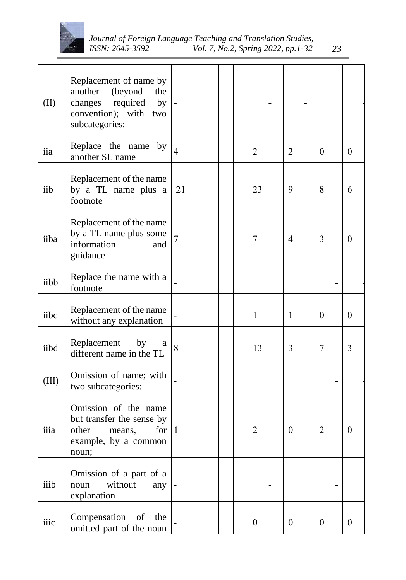

| (II)  | Replacement of name by<br>another<br>(beyond)<br>the<br>changes required<br>$_{\rm by}$<br>convention); with two<br>subcategories: |                |  |                  |                  |                  |                  |
|-------|------------------------------------------------------------------------------------------------------------------------------------|----------------|--|------------------|------------------|------------------|------------------|
| iia   | Replace the name by<br>another SL name                                                                                             | $\overline{4}$ |  | $\overline{2}$   | $\overline{2}$   | $\overline{0}$   | $\overline{0}$   |
| iib   | Replacement of the name<br>by a TL name plus a<br>footnote                                                                         | 21             |  | 23               | 9                | 8                | 6                |
| iiba  | Replacement of the name<br>by a TL name plus some<br>information<br>and<br>guidance                                                | $\overline{7}$ |  | 7                | $\overline{4}$   | 3                | $\boldsymbol{0}$ |
| iibb  | Replace the name with a<br>footnote                                                                                                |                |  |                  |                  |                  |                  |
| iibc  | Replacement of the name<br>without any explanation                                                                                 |                |  | $\mathbf{1}$     | $\mathbf{1}$     | $\theta$         | $\mathbf{0}$     |
| iibd  | Replacement<br>by<br>a<br>different name in the TL                                                                                 | 8              |  | 13               | 3                | $\tau$           | $\overline{3}$   |
| (III) | Omission of name; with<br>two subcategories:                                                                                       |                |  |                  |                  |                  |                  |
| iiia  | Omission of the name<br>but transfer the sense by<br>other<br>for<br>means,<br>example, by a common<br>noun;                       | 1              |  | 2                | $\mathbf{0}$     | 2                | $\boldsymbol{0}$ |
| iiib  | Omission of a part of a<br>without<br>noun<br>any<br>explanation                                                                   |                |  |                  |                  |                  |                  |
| iiic  | Compensation of<br>the<br>omitted part of the noun                                                                                 |                |  | $\boldsymbol{0}$ | $\boldsymbol{0}$ | $\boldsymbol{0}$ | $\overline{0}$   |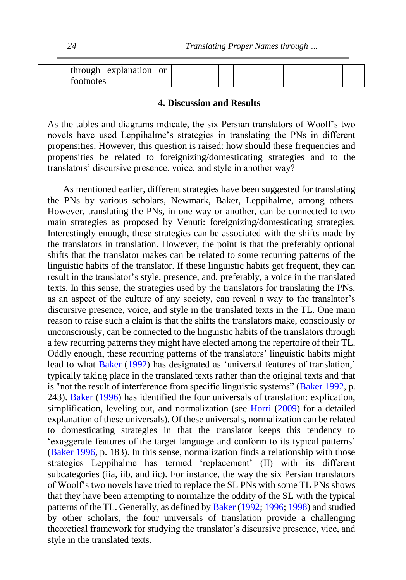|  |           | through explanation or |  |  |  |  |  |
|--|-----------|------------------------|--|--|--|--|--|
|  | tootnotes |                        |  |  |  |  |  |

#### **4. Discussion and Results**

As the tables and diagrams indicate, the six Persian translators of Woolf's two novels have used Leppihalme's strategies in translating the PNs in different propensities. However, this question is raised: how should these frequencies and propensities be related to foreignizing/domesticating strategies and to the translators' discursive presence, voice, and style in another way?

As mentioned earlier, different strategies have been suggested for translating the PNs by various scholars, Newmark, Baker, Leppihalme, among others. However, translating the PNs, in one way or another, can be connected to two main strategies as proposed by Venuti: foreignizing/domesticating strategies. Interestingly enough, these strategies can be associated with the shifts made by the translators in translation. However, the point is that the preferably optional shifts that the translator makes can be related to some recurring patterns of the linguistic habits of the translator. If these linguistic habits get frequent, they can result in the translator's style, presence, and, preferably, a voice in the translated texts. In this sense, the strategies used by the translators for translating the PNs, as an aspect of the culture of any society, can reveal a way to the translator's discursive presence, voice, and style in the translated texts in the TL. One main reason to raise such a claim is that the shifts the translators make, consciously or unconsciously, can be connected to the linguistic habits of the translators through a few recurring patterns they might have elected among the repertoire of their TL. Oddly enough, these recurring patterns of the translators' linguistic habits might lead to what [Baker](#page-29-7) [\(1992\)](#page-29-7) has designated as 'universal features of translation,' typically taking place in the translated texts rather than the original texts and that is "not the result of interference from specific linguistic systems" [\(Baker](#page-29-7) [1992,](#page-29-7) p. 243). [Baker](#page-29-2) [\(1996\)](#page-29-2) has identified the four universals of translation: explication, simplification, leveling out, and normalization (see [Horri](#page-30-12) [\(2009\)](#page-30-12) for a detailed explanation of these universals). Of these universals, normalization can be related to domesticating strategies in that the translator keeps this tendency to 'exaggerate features of the target language and conform to its typical patterns' [\(Baker](#page-29-2) [1996,](#page-29-2) p. 183). In this sense, normalization finds a relationship with those strategies Leppihalme has termed 'replacement' (II) with its different subcategories (iia, iib, and iic). For instance, the way the six Persian translators of Woolf's two novels have tried to replace the SL PNs with some TL PNs shows that they have been attempting to normalize the oddity of the SL with the typical patterns of the TL. Generally, as defined b[y Baker](#page-29-7) [\(1992;](#page-29-7) [1996;](#page-29-2) [1998\)](#page-29-3) and studied by other scholars, the four universals of translation provide a challenging theoretical framework for studying the translator's discursive presence, vice, and style in the translated texts.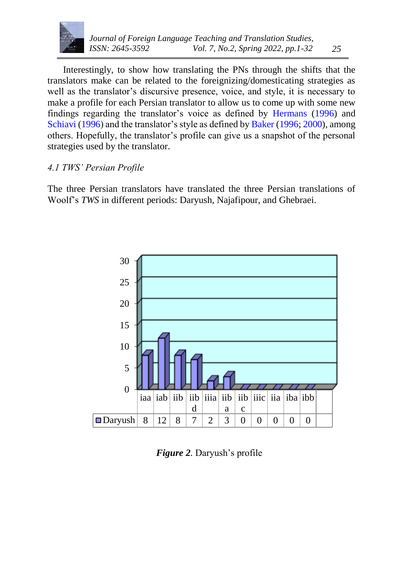

Interestingly, to show how translating the PNs through the shifts that the translators make can be related to the foreignizing/domesticating strategies as well as the translator's discursive presence, voice, and style, it is necessary to make a profile for each Persian translator to allow us to come up with some new findings regarding the translator's voice as defined by [Hermans](#page-30-0) [\(1996\)](#page-30-0) and [Schiavi](#page-30-1) [\(1996\)](#page-30-1) and the translator's style as defined b[y Baker](#page-29-2) [\(1996; 2000\)](#page-29-2), among others. Hopefully, the translator's profile can give us a snapshot of the personal strategies used by the translator.

## *4.1 TWS' Persian Profile*

The three Persian translators have translated the three Persian translations of Woolf's *TWS* in different periods: Daryush, Najafipour, and Ghebraei.



*Figure 2.* Daryush's profile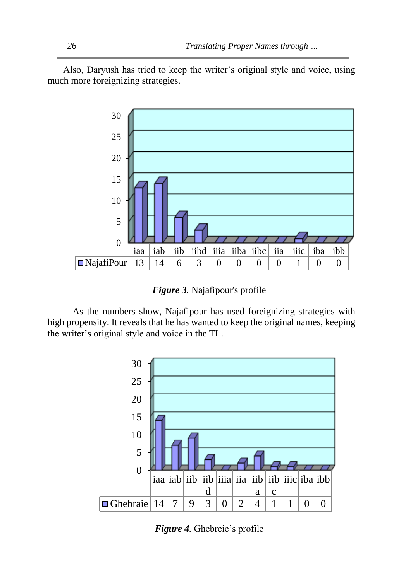Also, Daryush has tried to keep the writer's original style and voice, using much more foreignizing strategies.



*Figure 3.* Najafipour's profile

 As the numbers show, Najafipour has used foreignizing strategies with high propensity. It reveals that he has wanted to keep the original names, keeping the writer's original style and voice in the TL.



*Figure 4.* Ghebreie's profile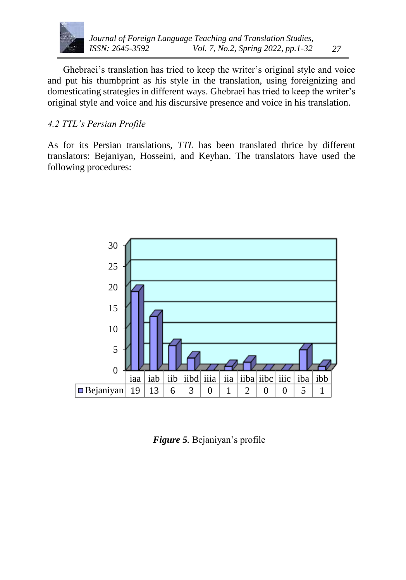

## *4.2 TTL's Persian Profile*

As for its Persian translations, *TTL* has been translated thrice by different translators: Bejaniyan, Hosseini, and Keyhan. The translators have used the following procedures:



*Figure 5.* Bejaniyan's profile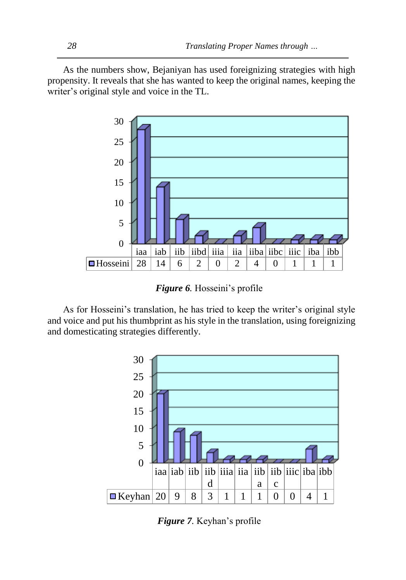As the numbers show, Bejaniyan has used foreignizing strategies with high propensity. It reveals that she has wanted to keep the original names, keeping the writer's original style and voice in the TL.



*Figure 6.* Hosseini's profile

As for Hosseini's translation, he has tried to keep the writer's original style and voice and put his thumbprint as his style in the translation, using foreignizing and domesticating strategies differently.



*Figure 7.* Keyhan's profile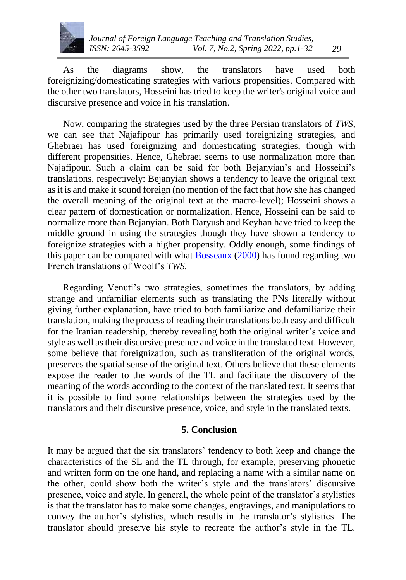

As the diagrams show, the translators have used both foreignizing/domesticating strategies with various propensities. Compared with the other two translators, Hosseini has tried to keep the writer's original voice and discursive presence and voice in his translation.

Now, comparing the strategies used by the three Persian translators of *TWS*, we can see that Najafipour has primarily used foreignizing strategies, and Ghebraei has used foreignizing and domesticating strategies, though with different propensities. Hence, Ghebraei seems to use normalization more than Najafipour. Such a claim can be said for both Bejanyian's and Hosseini's translations, respectively: Bejanyian shows a tendency to leave the original text as it is and make it sound foreign (no mention of the fact that how she has changed the overall meaning of the original text at the macro-level); Hosseini shows a clear pattern of domestication or normalization. Hence, Hosseini can be said to normalize more than Bejanyian. Both Daryush and Keyhan have tried to keep the middle ground in using the strategies though they have shown a tendency to foreignize strategies with a higher propensity. Oddly enough, some findings of this paper can be compared with what [Bosseaux](#page-29-1) [\(2000\)](#page-29-1) has found regarding two French translations of Woolf's *TWS.*

Regarding Venuti's two strategies, sometimes the translators, by adding strange and unfamiliar elements such as translating the PNs literally without giving further explanation, have tried to both familiarize and defamiliarize their translation, making the process of reading their translations both easy and difficult for the Iranian readership, thereby revealing both the original writer's voice and style as well as their discursive presence and voice in the translated text. However, some believe that foreignization, such as transliteration of the original words, preserves the spatial sense of the original text. Others believe that these elements expose the reader to the words of the TL and facilitate the discovery of the meaning of the words according to the context of the translated text. It seems that it is possible to find some relationships between the strategies used by the translators and their discursive presence, voice, and style in the translated texts.

#### **5. Conclusion**

It may be argued that the six translators' tendency to both keep and change the characteristics of the SL and the TL through, for example, preserving phonetic and written form on the one hand, and replacing a name with a similar name on the other, could show both the writer's style and the translators' discursive presence, voice and style. In general, the whole point of the translator's stylistics is that the translator has to make some changes, engravings, and manipulations to convey the author's stylistics, which results in the translator's stylistics. The translator should preserve his style to recreate the author's style in the TL.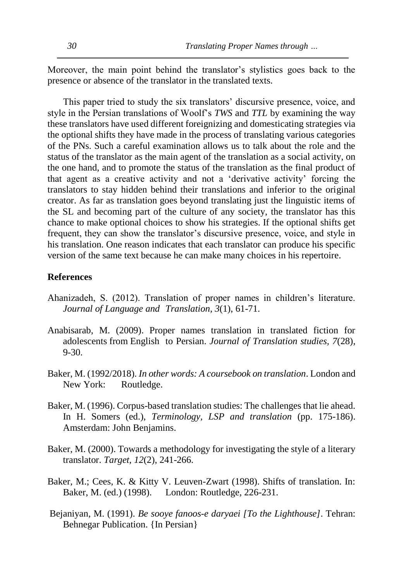Moreover, the main point behind the translator's stylistics goes back to the presence or absence of the translator in the translated texts.

This paper tried to study the six translators' discursive presence, voice, and style in the Persian translations of Woolf's *TWS* and *TTL* by examining the way these translators have used different foreignizing and domesticating strategies via the optional shifts they have made in the process of translating various categories of the PNs. Such a careful examination allows us to talk about the role and the status of the translator as the main agent of the translation as a social activity, on the one hand, and to promote the status of the translation as the final product of that agent as a creative activity and not a 'derivative activity' forcing the translators to stay hidden behind their translations and inferior to the original creator. As far as translation goes beyond translating just the linguistic items of the SL and becoming part of the culture of any society, the translator has this chance to make optional choices to show his strategies. If the optional shifts get frequent, they can show the translator's discursive presence, voice, and style in his translation. One reason indicates that each translator can produce his specific version of the same text because he can make many choices in his repertoire.

#### <span id="page-29-4"></span>**References**

- Ahanizadeh, S. (2012). Translation of proper names in children's literature. *Journal of Language and Translation, 3*(1), 61-71.
- <span id="page-29-5"></span>Anabisarab, M. (2009). Proper names translation in translated fiction for adolescents from English to Persian. *Journal of Translation studies, 7*(28), 9-30.
- <span id="page-29-7"></span>Baker, M. (1992/2018). *In other words: A coursebook on translation*. London and New York: Routledge.
- <span id="page-29-2"></span>Baker, M. (1996). Corpus-based translation studies: The challenges that lie ahead. In H. Somers (ed.), *Terminology, LSP and translation* (pp. 175-186). Amsterdam: John Benjamins.
- <span id="page-29-0"></span>Baker, M. (2000). Towards a methodology for investigating the style of a literary translator. *Target, 12*(2), 241-266.
- <span id="page-29-3"></span>Baker, M.; Cees, K. & Kitty V. Leuven-Zwart (1998). Shifts of translation. In: Baker, M. (ed.) (1998). London: Routledge, 226-231.
- <span id="page-29-6"></span><span id="page-29-1"></span>Bejaniyan, M. (1991). *Be sooye fanoos-e daryaei [To the Lighthouse]*. Tehran: Behnegar Publication. {In Persian}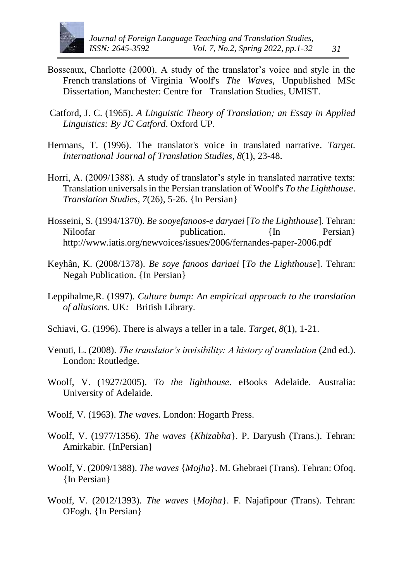

- <span id="page-30-12"></span>Bosseaux, Charlotte (2000). A study of the translator's voice and style in the French translations of Virginia Woolf's *The Waves,* Unpublished MSc Dissertation, Manchester: Centre for Translation Studies, UMIST.
- <span id="page-30-11"></span><span id="page-30-2"></span>Catford, J. C. (1965). *A Linguistic Theory of Translation; an Essay in Applied Linguistics: By JC Catford*. Oxford UP.
- <span id="page-30-0"></span>Hermans, T. (1996). The translator's voice in translated narrative. *Target. International Journal of Translation Studies*, *8*(1), 23-48.
- <span id="page-30-7"></span>Horri, A. (2009/1388). A study of translator's style in translated narrative texts: Translation universals in the Persian translation of Woolf's *To the Lighthouse*. *Translation Studies*, *7*(26), 5-26. {In Persian}
- <span id="page-30-1"></span>Hosseini, S. (1994/1370). *Be sooyefanoos-e daryaei* [*To the Lighthouse*]. Tehran: Niloofar publication. {In Persian} <http://www.iatis.org/newvoices/issues/2006/fernandes-paper-2006.pdf>
- <span id="page-30-3"></span>Keyhân, K. (2008/1378). *Be soye fanoos dariaei* [*To the Lighthouse*]. Tehran: Negah Publication. {In Persian}
- <span id="page-30-5"></span>Leppihalme,R. (1997). *Culture bump: An empirical approach to the translation of allusions.* UK*:* British Library.
- <span id="page-30-8"></span><span id="page-30-4"></span>Schiavi, G. (1996). There is always a teller in a tale. *Target, 8*(1), 1-21.
- Venuti, L. (2008). *The translator's invisibility: A history of translation* (2nd ed.). London: Routledge.
- <span id="page-30-9"></span>Woolf, V. (1927/2005). *To the lighthouse*. eBooks Adelaide. Australia: University of Adelaide.
- <span id="page-30-6"></span>Woolf, V. (1963). *The waves.* London: Hogarth Press.
- Woolf, V. (1977/1356). *The waves* {*Khizabha*}. P. Daryush (Trans.). Tehran: Amirkabir. {InPersian}
- <span id="page-30-10"></span>Woolf, V. (2009/1388). *The waves* {*Mojha*}. M. Ghebraei (Trans). Tehran: Ofoq. {In Persian}
- Woolf, V. (2012/1393). *The waves* {*Mojha*}. F. Najafipour (Trans). Tehran: OFogh. {In Persian}